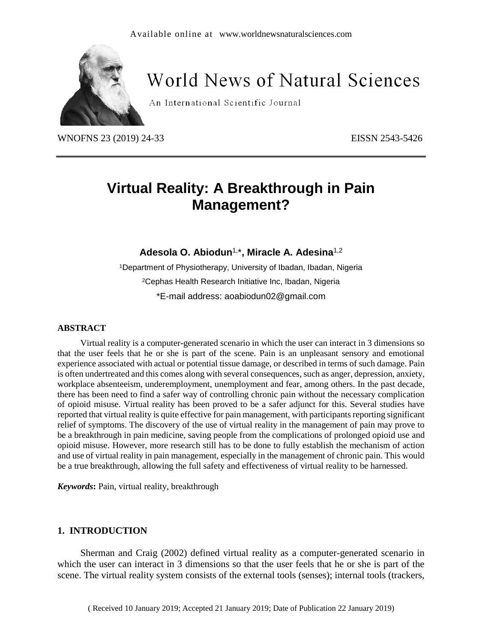

# **World News of Natural Sciences**

An International Scientific Journal

WNOFNS 23 (2019) 24-33<br>
EISSN 2543-5426

# **Virtual Reality: A Breakthrough in Pain Management?**

**Adesola O. Abiodun**1, \***, Miracle A. Adesina**1,2

<sup>1</sup>Department of Physiotherapy, University of Ibadan, Ibadan, Nigeria <sup>2</sup>Cephas Health Research Initiative Inc, Ibadan, Nigeria \*E-mail address: [aoabiodun02@gmail.com](mailto:aoabiodun02@gmail.com)

#### **ABSTRACT**

Virtual reality is a computer-generated scenario in which the user can interact in 3 dimensions so that the user feels that he or she is part of the scene. Pain is an unpleasant sensory and emotional experience associated with actual or potential tissue damage, or described in terms of such damage. Pain is often undertreated and this comes along with several consequences, such as anger, depression, anxiety, workplace absenteeism, underemployment, unemployment and fear, among others. In the past decade, there has been need to find a safer way of controlling chronic pain without the necessary complication of opioid misuse. Virtual reality has been proved to be a safer adjunct for this. Several studies have reported that virtual reality is quite effective for pain management, with participants reporting significant relief of symptoms. The discovery of the use of virtual reality in the management of pain may prove to be a breakthrough in pain medicine, saving people from the complications of prolonged opioid use and opioid misuse. However, more research still has to be done to fully establish the mechanism of action and use of virtual reality in pain management, especially in the management of chronic pain. This would be a true breakthrough, allowing the full safety and effectiveness of virtual reality to be harnessed.

*Keywords***:** Pain, virtual reality, breakthrough

#### **1. INTRODUCTION**

Sherman and Craig (2002) defined virtual reality as a computer-generated scenario in which the user can interact in 3 dimensions so that the user feels that he or she is part of the scene. The virtual reality system consists of the external tools (senses); internal tools (trackers,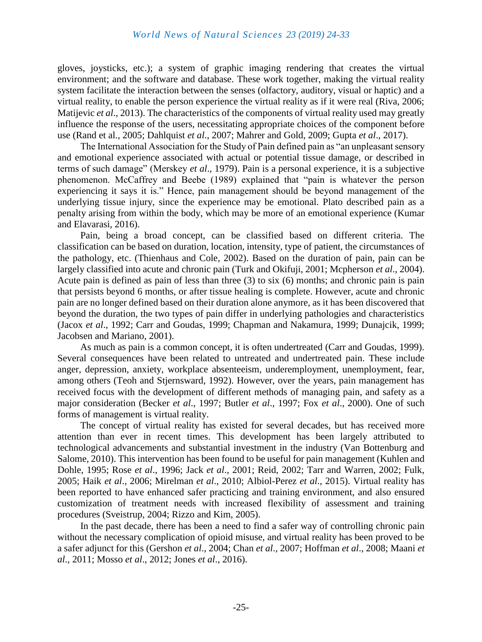gloves, joysticks, etc.); a system of graphic imaging rendering that creates the virtual environment; and the software and database. These work together, making the virtual reality system facilitate the interaction between the senses (olfactory, auditory, visual or haptic) and a virtual reality, to enable the person experience the virtual reality as if it were real (Riva, 2006; Matijevic *et al*., 2013). The characteristics of the components of virtual reality used may greatly influence the response of the users, necessitating appropriate choices of the component before use (Rand et al., 2005; Dahlquist *et al*., 2007; Mahrer and Gold, 2009; Gupta *et al*., 2017).

The International Association for the Study of Pain defined pain as "an unpleasant sensory and emotional experience associated with actual or potential tissue damage, or described in terms of such damage" (Merskey *et al*., 1979). Pain is a personal experience, it is a subjective phenomenon. McCaffrey and Beebe (1989) explained that "pain is whatever the person experiencing it says it is." Hence, pain management should be beyond management of the underlying tissue injury, since the experience may be emotional. Plato described pain as a penalty arising from within the body, which may be more of an emotional experience (Kumar and Elavarasi, 2016).

Pain, being a broad concept, can be classified based on different criteria. The classification can be based on duration, location, intensity, type of patient, the circumstances of the pathology, etc. (Thienhaus and Cole, 2002). Based on the duration of pain, pain can be largely classified into acute and chronic pain (Turk and Okifuji, 2001; Mcpherson *et al*., 2004). Acute pain is defined as pain of less than three (3) to six (6) months; and chronic pain is pain that persists beyond 6 months, or after tissue healing is complete. However, acute and chronic pain are no longer defined based on their duration alone anymore, as it has been discovered that beyond the duration, the two types of pain differ in underlying pathologies and characteristics (Jacox *et al*., 1992; Carr and Goudas, 1999; Chapman and Nakamura, 1999; Dunajcik, 1999; Jacobsen and Mariano, 2001).

As much as pain is a common concept, it is often undertreated (Carr and Goudas, 1999). Several consequences have been related to untreated and undertreated pain. These include anger, depression, anxiety, workplace absenteeism, underemployment, unemployment, fear, among others (Teoh and Stjernsward, 1992). However, over the years, pain management has received focus with the development of different methods of managing pain, and safety as a major consideration (Becker *et al*., 1997; Butler *et al*., 1997; Fox *et al*., 2000). One of such forms of management is virtual reality.

The concept of virtual reality has existed for several decades, but has received more attention than ever in recent times. This development has been largely attributed to technological advancements and substantial investment in the industry (Van Bottenburg and Salome, 2010). This intervention has been found to be useful for pain management (Kuhlen and Dohle, 1995; Rose *et al*., 1996; Jack *et al*., 2001; Reid, 2002; Tarr and Warren, 2002; Fulk, 2005; Haik *et al*., 2006; Mirelman *et al*., 2010; Albiol-Perez *et al*., 2015). Virtual reality has been reported to have enhanced safer practicing and training environment, and also ensured customization of treatment needs with increased flexibility of assessment and training procedures (Sveistrup, 2004; Rizzo and Kim, 2005).

In the past decade, there has been a need to find a safer way of controlling chronic pain without the necessary complication of opioid misuse, and virtual reality has been proved to be a safer adjunct for this (Gershon *et al*., 2004; Chan *et al*., 2007; Hoffman *et al*., 2008; Maani *et al*., 2011; Mosso *et al*., 2012; Jones *et al*., 2016).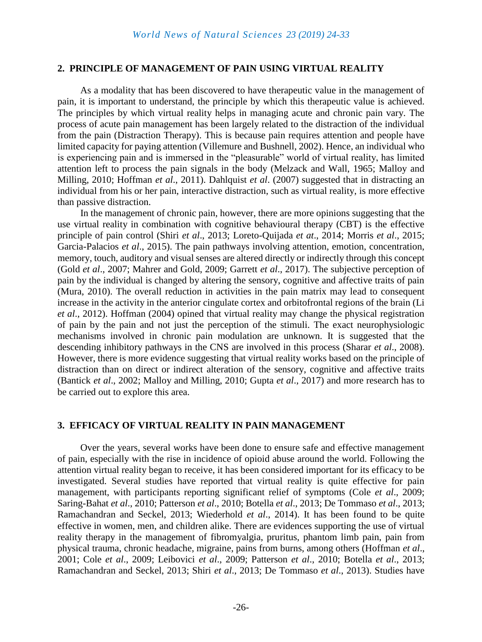#### **2. PRINCIPLE OF MANAGEMENT OF PAIN USING VIRTUAL REALITY**

As a modality that has been discovered to have therapeutic value in the management of pain, it is important to understand, the principle by which this therapeutic value is achieved. The principles by which virtual reality helps in managing acute and chronic pain vary. The process of acute pain management has been largely related to the distraction of the individual from the pain (Distraction Therapy). This is because pain requires attention and people have limited capacity for paying attention (Villemure and Bushnell, 2002). Hence, an individual who is experiencing pain and is immersed in the "pleasurable" world of virtual reality, has limited attention left to process the pain signals in the body (Melzack and Wall, 1965; Malloy and Milling, 2010; Hoffman *et al*., 2011). Dahlquist *et al*. (2007) suggested that in distracting an individual from his or her pain, interactive distraction, such as virtual reality, is more effective than passive distraction.

In the management of chronic pain, however, there are more opinions suggesting that the use virtual reality in combination with cognitive behavioural therapy (CBT) is the effective principle of pain control (Shiri *et al*., 2013; Loreto-Quijada *et at*., 2014; Morris *et al*., 2015; Garcia-Palacios *et al*., 2015). The pain pathways involving attention, emotion, concentration, memory, touch, auditory and visual senses are altered directly or indirectly through this concept (Gold *et al*., 2007; Mahrer and Gold, 2009; Garrett *et al*., 2017). The subjective perception of pain by the individual is changed by altering the sensory, cognitive and affective traits of pain (Mura, 2010). The overall reduction in activities in the pain matrix may lead to consequent increase in the activity in the anterior cingulate cortex and orbitofrontal regions of the brain (Li *et al*., 2012). Hoffman (2004) opined that virtual reality may change the physical registration of pain by the pain and not just the perception of the stimuli. The exact neurophysiologic mechanisms involved in chronic pain modulation are unknown. It is suggested that the descending inhibitory pathways in the CNS are involved in this process (Sharar *et al*., 2008). However, there is more evidence suggesting that virtual reality works based on the principle of distraction than on direct or indirect alteration of the sensory, cognitive and affective traits (Bantick *et al*., 2002; Malloy and Milling, 2010; Gupta *et al*., 2017) and more research has to be carried out to explore this area.

#### **3. EFFICACY OF VIRTUAL REALITY IN PAIN MANAGEMENT**

Over the years, several works have been done to ensure safe and effective management of pain, especially with the rise in incidence of opioid abuse around the world. Following the attention virtual reality began to receive, it has been considered important for its efficacy to be investigated. Several studies have reported that virtual reality is quite effective for pain management, with participants reporting significant relief of symptoms (Cole *et al*., 2009; Saring-Bahat *et al*., 2010; Patterson *et al*., 2010; Botella *et al*., 2013; De Tommaso *et al*., 2013; Ramachandran and Seckel, 2013; Wiederhold *et al*., 2014). It has been found to be quite effective in women, men, and children alike. There are evidences supporting the use of virtual reality therapy in the management of fibromyalgia, pruritus, phantom limb pain, pain from physical trauma, chronic headache, migraine, pains from burns, among others (Hoffman *et al*., 2001; Cole *et al*., 2009; Leibovici *et al*., 2009; Patterson *et al*., 2010; Botella *et al*., 2013; Ramachandran and Seckel, 2013; Shiri *et al*., 2013; De Tommaso *et al*., 2013). Studies have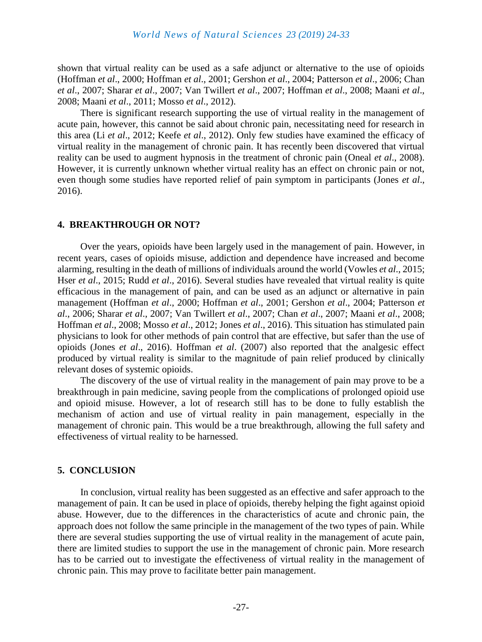shown that virtual reality can be used as a safe adjunct or alternative to the use of opioids (Hoffman *et al*., 2000; Hoffman *et al*., 2001; Gershon *et al*., 2004; Patterson *et al*., 2006; Chan *et al*., 2007; Sharar *et al*., 2007; Van Twillert *et al*., 2007; Hoffman *et al*., 2008; Maani *et al*., 2008; Maani *et al*., 2011; Mosso *et al*., 2012).

There is significant research supporting the use of virtual reality in the management of acute pain, however, this cannot be said about chronic pain, necessitating need for research in this area (Li *et al*., 2012; Keefe *et al*., 2012). Only few studies have examined the efficacy of virtual reality in the management of chronic pain. It has recently been discovered that virtual reality can be used to augment hypnosis in the treatment of chronic pain (Oneal *et al*., 2008). However, it is currently unknown whether virtual reality has an effect on chronic pain or not, even though some studies have reported relief of pain symptom in participants (Jones *et al*., 2016).

#### **4. BREAKTHROUGH OR NOT?**

Over the years, opioids have been largely used in the management of pain. However, in recent years, cases of opioids misuse, addiction and dependence have increased and become alarming, resulting in the death of millions of individuals around the world (Vowles *et al*., 2015; Hser *et al*., 2015; Rudd *et al*., 2016). Several studies have revealed that virtual reality is quite efficacious in the management of pain, and can be used as an adjunct or alternative in pain management (Hoffman *et al*., 2000; Hoffman *et al*., 2001; Gershon *et al*., 2004; Patterson *et al*., 2006; Sharar *et al*., 2007; Van Twillert *et al*., 2007; Chan *et al*., 2007; Maani *et al*., 2008; Hoffman *et al*., 2008; Mosso *et al*., 2012; Jones *et al*., 2016). This situation has stimulated pain physicians to look for other methods of pain control that are effective, but safer than the use of opioids (Jones *et al*., 2016). Hoffman *et al*. (2007) also reported that the analgesic effect produced by virtual reality is similar to the magnitude of pain relief produced by clinically relevant doses of systemic opioids.

The discovery of the use of virtual reality in the management of pain may prove to be a breakthrough in pain medicine, saving people from the complications of prolonged opioid use and opioid misuse. However, a lot of research still has to be done to fully establish the mechanism of action and use of virtual reality in pain management, especially in the management of chronic pain. This would be a true breakthrough, allowing the full safety and effectiveness of virtual reality to be harnessed.

### **5. CONCLUSION**

In conclusion, virtual reality has been suggested as an effective and safer approach to the management of pain. It can be used in place of opioids, thereby helping the fight against opioid abuse. However, due to the differences in the characteristics of acute and chronic pain, the approach does not follow the same principle in the management of the two types of pain. While there are several studies supporting the use of virtual reality in the management of acute pain, there are limited studies to support the use in the management of chronic pain. More research has to be carried out to investigate the effectiveness of virtual reality in the management of chronic pain. This may prove to facilitate better pain management.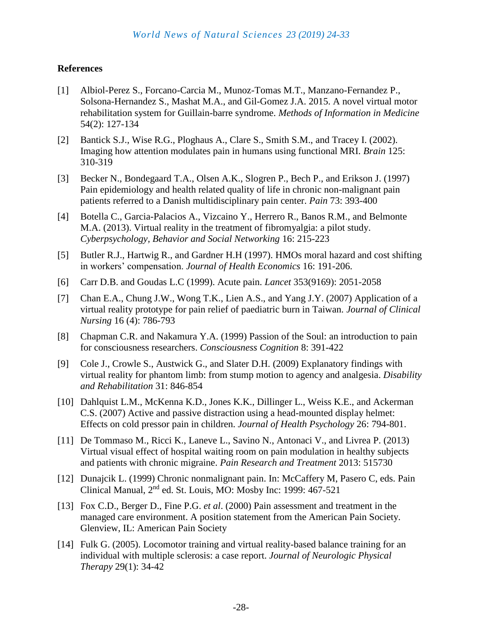## **References**

- [1] Albiol-Perez S., Forcano-Carcia M., Munoz-Tomas M.T., Manzano-Fernandez P., Solsona-Hernandez S., Mashat M.A., and Gil-Gomez J.A. 2015. A novel virtual motor rehabilitation system for Guillain-barre syndrome. *Methods of Information in Medicine* 54(2): 127-134
- [2] Bantick S.J., Wise R.G., Ploghaus A., Clare S., Smith S.M., and Tracey I. (2002). Imaging how attention modulates pain in humans using functional MRI. *Brain* 125: 310-319
- [3] Becker N., Bondegaard T.A., Olsen A.K., Slogren P., Bech P., and Erikson J. (1997) Pain epidemiology and health related quality of life in chronic non-malignant pain patients referred to a Danish multidisciplinary pain center. *Pain* 73: 393-400
- [4] Botella C., Garcia-Palacios A., Vizcaino Y., Herrero R., Banos R.M., and Belmonte M.A. (2013). Virtual reality in the treatment of fibromyalgia: a pilot study. *Cyberpsychology, Behavior and Social Networking* 16: 215-223
- [5] Butler R.J., Hartwig R., and Gardner H.H (1997). HMOs moral hazard and cost shifting in workers' compensation. *Journal of Health Economics* 16: 191-206.
- [6] Carr D.B. and Goudas L.C (1999). Acute pain. *Lancet* 353(9169): 2051-2058
- [7] Chan E.A., Chung J.W., Wong T.K., Lien A.S., and Yang J.Y. (2007) Application of a virtual reality prototype for pain relief of paediatric burn in Taiwan. *Journal of Clinical Nursing* 16 (4): 786-793
- [8] Chapman C.R. and Nakamura Y.A. (1999) Passion of the Soul: an introduction to pain for consciousness researchers. *Consciousness Cognition* 8: 391-422
- [9] Cole J., Crowle S., Austwick G., and Slater D.H. (2009) Explanatory findings with virtual reality for phantom limb: from stump motion to agency and analgesia. *Disability and Rehabilitation* 31: 846-854
- [10] Dahlquist L.M., McKenna K.D., Jones K.K., Dillinger L., Weiss K.E., and Ackerman C.S. (2007) Active and passive distraction using a head-mounted display helmet: Effects on cold pressor pain in children. *Journal of Health Psychology* 26: 794-801.
- [11] De Tommaso M., Ricci K., Laneve L., Savino N., Antonaci V., and Livrea P. (2013) Virtual visual effect of hospital waiting room on pain modulation in healthy subjects and patients with chronic migraine. *Pain Research and Treatment* 2013: 515730
- [12] Dunajcik L. (1999) Chronic nonmalignant pain. In: McCaffery M, Pasero C, eds. Pain Clinical Manual, 2nd ed. St. Louis, MO: Mosby Inc: 1999: 467-521
- [13] Fox C.D., Berger D., Fine P.G. *et al*. (2000) Pain assessment and treatment in the managed care environment. A position statement from the American Pain Society. Glenview, IL: American Pain Society
- [14] Fulk G. (2005). Locomotor training and virtual reality-based balance training for an individual with multiple sclerosis: a case report. *Journal of Neurologic Physical Therapy* 29(1): 34-42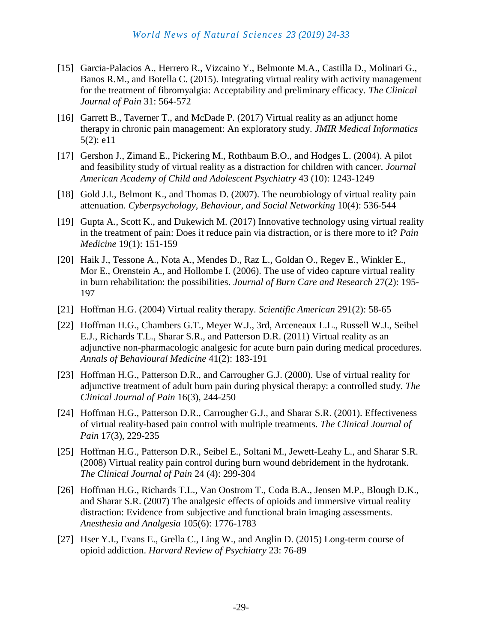- [15] Garcia-Palacios A., Herrero R., Vizcaino Y., Belmonte M.A., Castilla D., Molinari G., Banos R.M., and Botella C. (2015). Integrating virtual reality with activity management for the treatment of fibromyalgia: Acceptability and preliminary efficacy. *The Clinical Journal of Pain* 31: 564-572
- [16] Garrett B., Taverner T., and McDade P. (2017) Virtual reality as an adjunct home therapy in chronic pain management: An exploratory study. *JMIR Medical Informatics*  5(2): e11
- [17] Gershon J., Zimand E., Pickering M., Rothbaum B.O., and Hodges L. (2004). A pilot and feasibility study of virtual reality as a distraction for children with cancer. *Journal American Academy of Child and Adolescent Psychiatry* 43 (10): 1243-1249
- [18] Gold J.I., Belmont K., and Thomas D. (2007). The neurobiology of virtual reality pain attenuation. *Cyberpsychology, Behaviour, and Social Networking* 10(4): 536-544
- [19] Gupta A., Scott K., and Dukewich M. (2017) Innovative technology using virtual reality in the treatment of pain: Does it reduce pain via distraction, or is there more to it? *Pain Medicine* 19(1): 151-159
- [20] Haik J., Tessone A., Nota A., Mendes D., Raz L., Goldan O., Regev E., Winkler E., Mor E., Orenstein A., and Hollombe I. (2006). The use of video capture virtual reality in burn rehabilitation: the possibilities. *Journal of Burn Care and Research* 27(2): 195- 197
- [21] Hoffman H.G. (2004) Virtual reality therapy. *Scientific American* 291(2): 58-65
- [22] Hoffman H.G., Chambers G.T., Meyer W.J., 3rd, Arceneaux L.L., Russell W.J., Seibel E.J., Richards T.L., Sharar S.R., and Patterson D.R. (2011) Virtual reality as an adjunctive non-pharmacologic analgesic for acute burn pain during medical procedures. *Annals of Behavioural Medicine* 41(2): 183-191
- [23] Hoffman H.G., Patterson D.R., and Carrougher G.J. (2000). Use of virtual reality for adjunctive treatment of adult burn pain during physical therapy: a controlled study. *The Clinical Journal of Pain* 16(3), 244-250
- [24] Hoffman H.G., Patterson D.R., Carrougher G.J., and Sharar S.R. (2001). Effectiveness of virtual reality-based pain control with multiple treatments. *The Clinical Journal of Pain* 17(3), 229-235
- [25] Hoffman H.G., Patterson D.R., Seibel E., Soltani M., Jewett-Leahy L., and Sharar S.R. (2008) Virtual reality pain control during burn wound debridement in the hydrotank. *The Clinical Journal of Pain* 24 (4): 299-304
- [26] Hoffman H.G., Richards T.L., Van Oostrom T., Coda B.A., Jensen M.P., Blough D.K., and Sharar S.R. (2007) The analgesic effects of opioids and immersive virtual reality distraction: Evidence from subjective and functional brain imaging assessments. *Anesthesia and Analgesia* 105(6): 1776-1783
- [27] Hser Y.I., Evans E., Grella C., Ling W., and Anglin D. (2015) Long-term course of opioid addiction. *Harvard Review of Psychiatry* 23: 76-89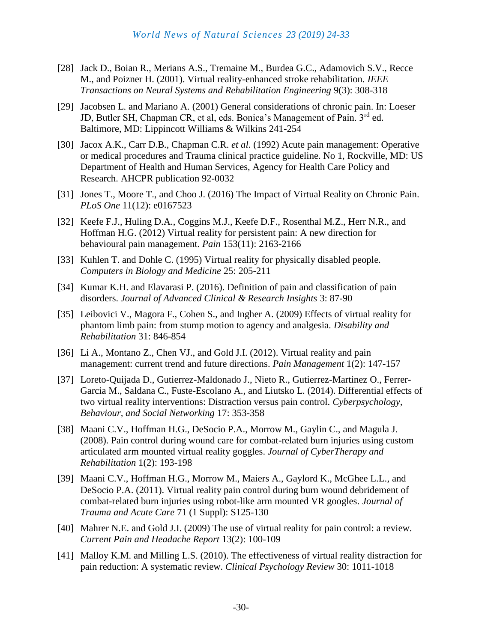- [28] Jack D., Boian R., Merians A.S., Tremaine M., Burdea G.C., Adamovich S.V., Recce M., and Poizner H. (2001). Virtual reality-enhanced stroke rehabilitation. *IEEE Transactions on Neural Systems and Rehabilitation Engineering* 9(3): 308-318
- [29] Jacobsen L. and Mariano A. (2001) General considerations of chronic pain. In: Loeser JD, Butler SH, Chapman CR, et al, eds. Bonica's Management of Pain. 3<sup>rd</sup> ed. Baltimore, MD: Lippincott Williams & Wilkins 241-254
- [30] Jacox A.K., Carr D.B., Chapman C.R. *et al*. (1992) Acute pain management: Operative or medical procedures and Trauma clinical practice guideline. No 1, Rockville, MD: US Department of Health and Human Services, Agency for Health Care Policy and Research. AHCPR publication 92-0032
- [31] Jones T., Moore T., and Choo J. (2016) The Impact of Virtual Reality on Chronic Pain. *PLoS One* 11(12): e0167523
- [32] Keefe F.J., Huling D.A., Coggins M.J., Keefe D.F., Rosenthal M.Z., Herr N.R., and Hoffman H.G. (2012) Virtual reality for persistent pain: A new direction for behavioural pain management. *Pain* 153(11): 2163-2166
- [33] Kuhlen T. and Dohle C. (1995) Virtual reality for physically disabled people. *Computers in Biology and Medicine* 25: 205-211
- [34] Kumar K.H. and Elavarasi P. (2016). Definition of pain and classification of pain disorders. *Journal of Advanced Clinical & Research Insights* 3: 87-90
- [35] Leibovici V., Magora F., Cohen S., and Ingher A. (2009) Effects of virtual reality for phantom limb pain: from stump motion to agency and analgesia. *Disability and Rehabilitation* 31: 846-854
- [36] Li A., Montano Z., Chen VJ., and Gold J.I. (2012). Virtual reality and pain management: current trend and future directions. *Pain Management* 1(2): 147-157
- [37] Loreto-Quijada D., Gutierrez-Maldonado J., Nieto R., Gutierrez-Martinez O., Ferrer-Garcia M., Saldana C., Fuste-Escolano A., and Liutsko L. (2014). Differential effects of two virtual reality interventions: Distraction versus pain control. *Cyberpsychology, Behaviour, and Social Networking* 17: 353-358
- [38] Maani C.V., Hoffman H.G., DeSocio P.A., Morrow M., Gaylin C., and Magula J. (2008). Pain control during wound care for combat-related burn injuries using custom articulated arm mounted virtual reality goggles. *Journal of CyberTherapy and Rehabilitation* 1(2): 193-198
- [39] Maani C.V., Hoffman H.G., Morrow M., Maiers A., Gaylord K., McGhee L.L., and DeSocio P.A. (2011). Virtual reality pain control during burn wound debridement of combat-related burn injuries using robot-like arm mounted VR googles. *Journal of Trauma and Acute Care* 71 (1 Suppl): S125-130
- [40] Mahrer N.E. and Gold J.I. (2009) The use of virtual reality for pain control: a review. *Current Pain and Headache Report* 13(2): 100-109
- [41] Malloy K.M. and Milling L.S. (2010). The effectiveness of virtual reality distraction for pain reduction: A systematic review. *Clinical Psychology Review* 30: 1011-1018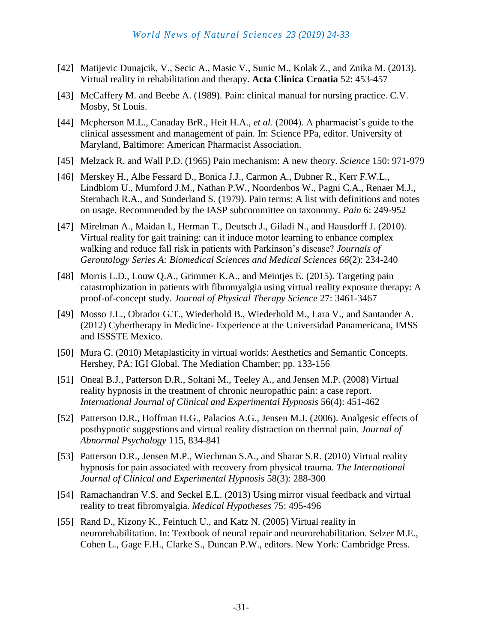- [42] Matijevic Dunajcik, V., Secic A., Masic V., Sunic M., Kolak Z., and Znika M. (2013). Virtual reality in rehabilitation and therapy. **Acta Clinica Croatia** 52: 453-457
- [43] McCaffery M. and Beebe A. (1989). Pain: clinical manual for nursing practice. C.V. Mosby, St Louis.
- [44] Mcpherson M.L., Canaday BrR., Heit H.A., *et al*. (2004). A pharmacist's guide to the clinical assessment and management of pain. In: Science PPa, editor. University of Maryland, Baltimore: American Pharmacist Association.
- [45] Melzack R. and Wall P.D. (1965) Pain mechanism: A new theory. *Science* 150: 971-979
- [46] Merskey H., Albe Fessard D., Bonica J.J., Carmon A., Dubner R., Kerr F.W.L., Lindblom U., Mumford J.M., Nathan P.W., Noordenbos W., Pagni C.A., Renaer M.J., Sternbach R.A., and Sunderland S. (1979). Pain terms: A list with definitions and notes on usage. Recommended by the IASP subcommittee on taxonomy. *Pain* 6: 249-952
- [47] Mirelman A., Maidan I., Herman T., Deutsch J., Giladi N., and Hausdorff J. (2010). Virtual reality for gait training: can it induce motor learning to enhance complex walking and reduce fall risk in patients with Parkinson's disease? *Journals of Gerontology Series A: Biomedical Sciences and Medical Sciences 66*(2): 234-240
- [48] Morris L.D., Louw Q.A., Grimmer K.A., and Meintjes E. (2015). Targeting pain catastrophization in patients with fibromyalgia using virtual reality exposure therapy: A proof-of-concept study. *Journal of Physical Therapy Science* 27: 3461-3467
- [49] Mosso J.L., Obrador G.T., Wiederhold B., Wiederhold M., Lara V., and Santander A. (2012) Cybertherapy in Medicine- Experience at the Universidad Panamericana, IMSS and ISSSTE Mexico.
- [50] Mura G. (2010) Metaplasticity in virtual worlds: Aesthetics and Semantic Concepts. Hershey, PA: IGI Global. The Mediation Chamber; pp. 133-156
- [51] Oneal B.J., Patterson D.R., Soltani M., Teeley A., and Jensen M.P. (2008) Virtual reality hypnosis in the treatment of chronic neuropathic pain: a case report. *International Journal of Clinical and Experimental Hypnosis* 56(4): 451-462
- [52] Patterson D.R., Hoffman H.G., Palacios A.G., Jensen M.J. (2006). Analgesic effects of posthypnotic suggestions and virtual reality distraction on thermal pain. *Journal of Abnormal Psychology* 115, 834-841
- [53] Patterson D.R., Jensen M.P., Wiechman S.A., and Sharar S.R. (2010) Virtual reality hypnosis for pain associated with recovery from physical trauma. *The International Journal of Clinical and Experimental Hypnosis* 58(3): 288-300
- [54] Ramachandran V.S. and Seckel E.L. (2013) Using mirror visual feedback and virtual reality to treat fibromyalgia. *Medical Hypotheses* 75: 495-496
- [55] Rand D., Kizony K., Feintuch U., and Katz N. (2005) Virtual reality in neurorehabilitation. In: Textbook of neural repair and neurorehabilitation. Selzer M.E., Cohen L., Gage F.H., Clarke S., Duncan P.W., editors. New York: Cambridge Press.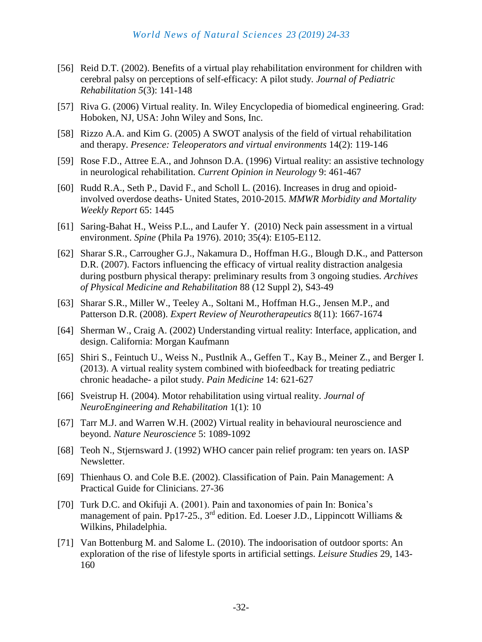- [56] Reid D.T. (2002). Benefits of a virtual play rehabilitation environment for children with cerebral palsy on perceptions of self-efficacy: A pilot study. *Journal of Pediatric Rehabilitation 5*(3): 141-148
- [57] Riva G. (2006) Virtual reality. In. Wiley Encyclopedia of biomedical engineering. Grad: Hoboken, NJ, USA: John Wiley and Sons, Inc.
- [58] Rizzo A.A. and Kim G. (2005) A SWOT analysis of the field of virtual rehabilitation and therapy. *Presence: Teleoperators and virtual environments* 14(2): 119-146
- [59] Rose F.D., Attree E.A., and Johnson D.A. (1996) Virtual reality: an assistive technology in neurological rehabilitation. *Current Opinion in Neurology* 9: 461-467
- [60] Rudd R.A., Seth P., David F., and Scholl L. (2016). Increases in drug and opioidinvolved overdose deaths- United States, 2010-2015. *MMWR Morbidity and Mortality Weekly Report* 65: 1445
- [61] Saring-Bahat H., Weiss P.L., and Laufer Y. (2010) Neck pain assessment in a virtual environment. *Spine* (Phila Pa 1976). 2010; 35(4): E105-E112.
- [62] Sharar S.R., Carrougher G.J., Nakamura D., Hoffman H.G., Blough D.K., and Patterson D.R. (2007). Factors influencing the efficacy of virtual reality distraction analgesia during postburn physical therapy: preliminary results from 3 ongoing studies. *Archives of Physical Medicine and Rehabilitation* 88 (12 Suppl 2), S43-49
- [63] Sharar S.R., Miller W., Teeley A., Soltani M., Hoffman H.G., Jensen M.P., and Patterson D.R. (2008). *Expert Review of Neurotherapeutics* 8(11): 1667-1674
- [64] Sherman W., Craig A. (2002) Understanding virtual reality: Interface, application, and design. California: Morgan Kaufmann
- [65] Shiri S., Feintuch U., Weiss N., Pustlnik A., Geffen T., Kay B., Meiner Z., and Berger I. (2013). A virtual reality system combined with biofeedback for treating pediatric chronic headache- a pilot study. *Pain Medicine* 14: 621-627
- [66] Sveistrup H. (2004). Motor rehabilitation using virtual reality. *Journal of NeuroEngineering and Rehabilitation* 1(1): 10
- [67] Tarr M.J. and Warren W.H. (2002) Virtual reality in behavioural neuroscience and beyond. *Nature Neuroscience* 5: 1089-1092
- [68] Teoh N., Stjernsward J. (1992) WHO cancer pain relief program: ten years on. IASP Newsletter.
- [69] Thienhaus O. and Cole B.E. (2002). Classification of Pain. Pain Management: A Practical Guide for Clinicians. 27-36
- [70] Turk D.C. and Okifuji A. (2001). Pain and taxonomies of pain In: Bonica's management of pain. Pp17-25., 3<sup>rd</sup> edition. Ed. Loeser J.D., Lippincott Williams & Wilkins, Philadelphia.
- [71] Van Bottenburg M. and Salome L. (2010). The indoorisation of outdoor sports: An exploration of the rise of lifestyle sports in artificial settings. *Leisure Studies* 29, 143- 160